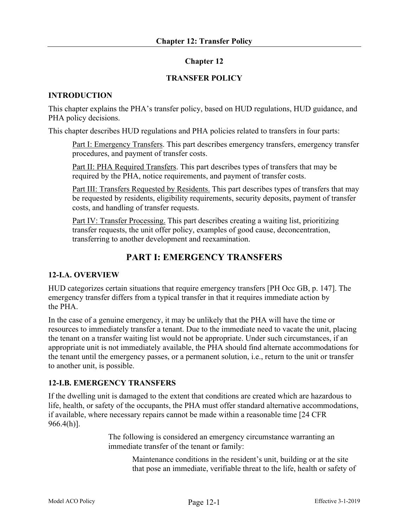# **Chapter 12**

# **TRANSFER POLICY**

### **INTRODUCTION**

This chapter explains the PHA's transfer policy, based on HUD regulations, HUD guidance, and PHA policy decisions.

This chapter describes HUD regulations and PHA policies related to transfers in four parts:

Part I: Emergency Transfers. This part describes emergency transfers, emergency transfer procedures, and payment of transfer costs.

Part II: PHA Required Transfers. This part describes types of transfers that may be required by the PHA, notice requirements, and payment of transfer costs.

Part III: Transfers Requested by Residents. This part describes types of transfers that may be requested by residents, eligibility requirements, security deposits, payment of transfer costs, and handling of transfer requests.

Part IV: Transfer Processing. This part describes creating a waiting list, prioritizing transfer requests, the unit offer policy, examples of good cause, deconcentration, transferring to another development and reexamination.

# **PART I: EMERGENCY TRANSFERS**

# **12-I.A. OVERVIEW**

HUD categorizes certain situations that require emergency transfers [PH Occ GB, p. 147]. The emergency transfer differs from a typical transfer in that it requires immediate action by the PHA.

In the case of a genuine emergency, it may be unlikely that the PHA will have the time or resources to immediately transfer a tenant. Due to the immediate need to vacate the unit, placing the tenant on a transfer waiting list would not be appropriate. Under such circumstances, if an appropriate unit is not immediately available, the PHA should find alternate accommodations for the tenant until the emergency passes, or a permanent solution, i.e., return to the unit or transfer to another unit, is possible.

# **12-I.B. EMERGENCY TRANSFERS**

If the dwelling unit is damaged to the extent that conditions are created which are hazardous to life, health, or safety of the occupants, the PHA must offer standard alternative accommodations, if available, where necessary repairs cannot be made within a reasonable time [24 CFR  $966.4(h)$ ].

> The following is considered an emergency circumstance warranting an immediate transfer of the tenant or family:

> > Maintenance conditions in the resident's unit, building or at the site that pose an immediate, verifiable threat to the life, health or safety of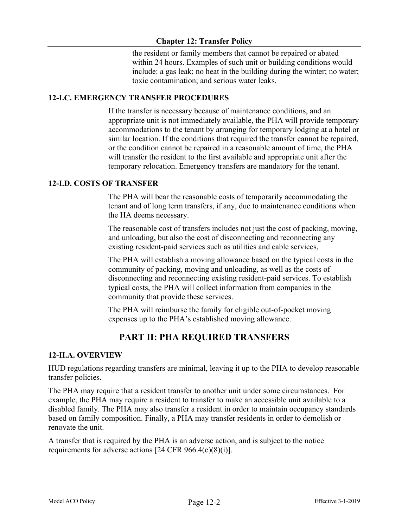# **Chapter 12: Transfer Policy**

the resident or family members that cannot be repaired or abated within 24 hours. Examples of such unit or building conditions would include: a gas leak; no heat in the building during the winter; no water; toxic contamination; and serious water leaks.

# **12-I.C. EMERGENCY TRANSFER PROCEDURES**

If the transfer is necessary because of maintenance conditions, and an appropriate unit is not immediately available, the PHA will provide temporary accommodations to the tenant by arranging for temporary lodging at a hotel or similar location. If the conditions that required the transfer cannot be repaired, or the condition cannot be repaired in a reasonable amount of time, the PHA will transfer the resident to the first available and appropriate unit after the temporary relocation. Emergency transfers are mandatory for the tenant.

# **12-I.D. COSTS OF TRANSFER**

The PHA will bear the reasonable costs of temporarily accommodating the tenant and of long term transfers, if any, due to maintenance conditions when the HA deems necessary.

The reasonable cost of transfers includes not just the cost of packing, moving, and unloading, but also the cost of disconnecting and reconnecting any existing resident-paid services such as utilities and cable services,

The PHA will establish a moving allowance based on the typical costs in the community of packing, moving and unloading, as well as the costs of disconnecting and reconnecting existing resident-paid services. To establish typical costs, the PHA will collect information from companies in the community that provide these services.

The PHA will reimburse the family for eligible out-of-pocket moving expenses up to the PHA's established moving allowance.

# **PART II: PHA REQUIRED TRANSFERS**

# **12-II.A. OVERVIEW**

HUD regulations regarding transfers are minimal, leaving it up to the PHA to develop reasonable transfer policies.

The PHA may require that a resident transfer to another unit under some circumstances. For example, the PHA may require a resident to transfer to make an accessible unit available to a disabled family. The PHA may also transfer a resident in order to maintain occupancy standards based on family composition. Finally, a PHA may transfer residents in order to demolish or renovate the unit.

A transfer that is required by the PHA is an adverse action, and is subject to the notice requirements for adverse actions [24 CFR  $966.4(e)(8)(i)$ ].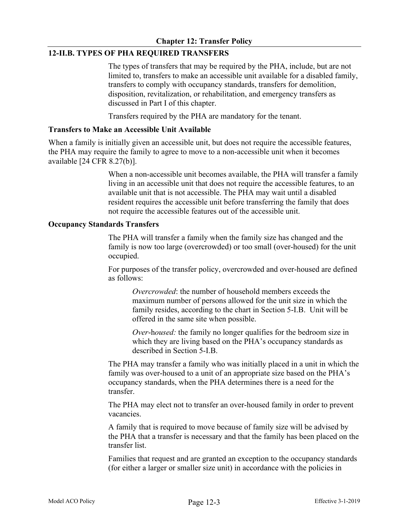# **12-II.B. TYPES OF PHA REQUIRED TRANSFERS**

The types of transfers that may be required by the PHA, include, but are not limited to, transfers to make an accessible unit available for a disabled family, transfers to comply with occupancy standards, transfers for demolition, disposition, revitalization, or rehabilitation, and emergency transfers as discussed in Part I of this chapter.

Transfers required by the PHA are mandatory for the tenant.

#### **Transfers to Make an Accessible Unit Available**

When a family is initially given an accessible unit, but does not require the accessible features, the PHA may require the family to agree to move to a non-accessible unit when it becomes available [24 CFR 8.27(b)].

> When a non-accessible unit becomes available, the PHA will transfer a family living in an accessible unit that does not require the accessible features, to an available unit that is not accessible. The PHA may wait until a disabled resident requires the accessible unit before transferring the family that does not require the accessible features out of the accessible unit.

### **Occupancy Standards Transfers**

The PHA will transfer a family when the family size has changed and the family is now too large (overcrowded) or too small (over-housed) for the unit occupied.

For purposes of the transfer policy, overcrowded and over-housed are defined as follows:

*Overcrowded*: the number of household members exceeds the maximum number of persons allowed for the unit size in which the family resides, according to the chart in Section 5-I.B. Unit will be offered in the same site when possible.

*Over*-h*oused:* the family no longer qualifies for the bedroom size in which they are living based on the PHA's occupancy standards as described in Section 5-I.B.

The PHA may transfer a family who was initially placed in a unit in which the family was over-housed to a unit of an appropriate size based on the PHA's occupancy standards, when the PHA determines there is a need for the transfer.

The PHA may elect not to transfer an over-housed family in order to prevent vacancies.

A family that is required to move because of family size will be advised by the PHA that a transfer is necessary and that the family has been placed on the transfer list.

Families that request and are granted an exception to the occupancy standards (for either a larger or smaller size unit) in accordance with the policies in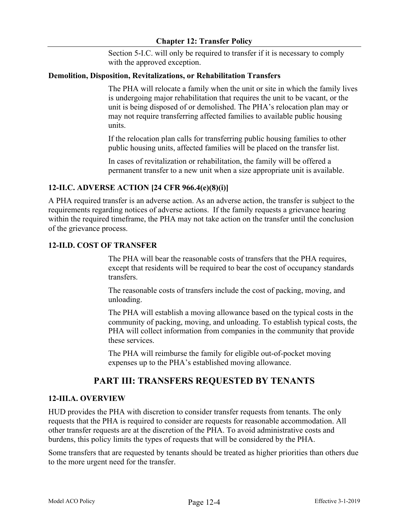Section 5-I.C. will only be required to transfer if it is necessary to comply with the approved exception.

### **Demolition, Disposition, Revitalizations, or Rehabilitation Transfers**

The PHA will relocate a family when the unit or site in which the family lives is undergoing major rehabilitation that requires the unit to be vacant, or the unit is being disposed of or demolished. The PHA's relocation plan may or may not require transferring affected families to available public housing units.

If the relocation plan calls for transferring public housing families to other public housing units, affected families will be placed on the transfer list.

In cases of revitalization or rehabilitation, the family will be offered a permanent transfer to a new unit when a size appropriate unit is available.

# **12-II.C. ADVERSE ACTION [24 CFR 966.4(e)(8)(i)]**

A PHA required transfer is an adverse action. As an adverse action, the transfer is subject to the requirements regarding notices of adverse actions. If the family requests a grievance hearing within the required timeframe, the PHA may not take action on the transfer until the conclusion of the grievance process.

### **12-II.D. COST OF TRANSFER**

The PHA will bear the reasonable costs of transfers that the PHA requires, except that residents will be required to bear the cost of occupancy standards transfers.

The reasonable costs of transfers include the cost of packing, moving, and unloading.

The PHA will establish a moving allowance based on the typical costs in the community of packing, moving, and unloading. To establish typical costs, the PHA will collect information from companies in the community that provide these services.

The PHA will reimburse the family for eligible out-of-pocket moving expenses up to the PHA's established moving allowance.

# **PART III: TRANSFERS REQUESTED BY TENANTS**

#### **12-III.A. OVERVIEW**

HUD provides the PHA with discretion to consider transfer requests from tenants. The only requests that the PHA is required to consider are requests for reasonable accommodation. All other transfer requests are at the discretion of the PHA. To avoid administrative costs and burdens, this policy limits the types of requests that will be considered by the PHA.

Some transfers that are requested by tenants should be treated as higher priorities than others due to the more urgent need for the transfer.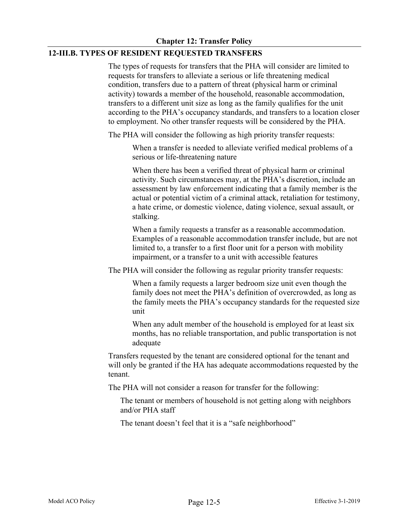# **12-III.B. TYPES OF RESIDENT REQUESTED TRANSFERS**

The types of requests for transfers that the PHA will consider are limited to requests for transfers to alleviate a serious or life threatening medical condition, transfers due to a pattern of threat (physical harm or criminal activity) towards a member of the household, reasonable accommodation, transfers to a different unit size as long as the family qualifies for the unit according to the PHA's occupancy standards, and transfers to a location closer to employment. No other transfer requests will be considered by the PHA.

The PHA will consider the following as high priority transfer requests:

When a transfer is needed to alleviate verified medical problems of a serious or life-threatening nature

When there has been a verified threat of physical harm or criminal activity. Such circumstances may, at the PHA's discretion, include an assessment by law enforcement indicating that a family member is the actual or potential victim of a criminal attack, retaliation for testimony, a hate crime, or domestic violence, dating violence, sexual assault, or stalking.

When a family requests a transfer as a reasonable accommodation. Examples of a reasonable accommodation transfer include, but are not limited to, a transfer to a first floor unit for a person with mobility impairment, or a transfer to a unit with accessible features

The PHA will consider the following as regular priority transfer requests:

When a family requests a larger bedroom size unit even though the family does not meet the PHA's definition of overcrowded, as long as the family meets the PHA's occupancy standards for the requested size unit

When any adult member of the household is employed for at least six months, has no reliable transportation, and public transportation is not adequate

Transfers requested by the tenant are considered optional for the tenant and will only be granted if the HA has adequate accommodations requested by the tenant.

The PHA will not consider a reason for transfer for the following:

The tenant or members of household is not getting along with neighbors and/or PHA staff

The tenant doesn't feel that it is a "safe neighborhood"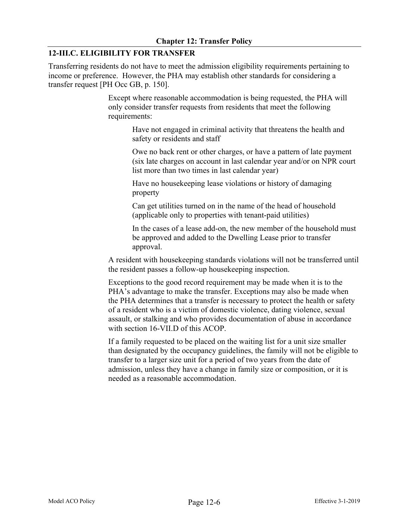# **12-III.C. ELIGIBILITY FOR TRANSFER**

Transferring residents do not have to meet the admission eligibility requirements pertaining to income or preference. However, the PHA may establish other standards for considering a transfer request [PH Occ GB, p. 150].

> Except where reasonable accommodation is being requested, the PHA will only consider transfer requests from residents that meet the following requirements:

> > Have not engaged in criminal activity that threatens the health and safety or residents and staff

Owe no back rent or other charges, or have a pattern of late payment (six late charges on account in last calendar year and/or on NPR court list more than two times in last calendar year)

Have no housekeeping lease violations or history of damaging property

Can get utilities turned on in the name of the head of household (applicable only to properties with tenant-paid utilities)

In the cases of a lease add-on, the new member of the household must be approved and added to the Dwelling Lease prior to transfer approval.

A resident with housekeeping standards violations will not be transferred until the resident passes a follow-up housekeeping inspection.

Exceptions to the good record requirement may be made when it is to the PHA's advantage to make the transfer. Exceptions may also be made when the PHA determines that a transfer is necessary to protect the health or safety of a resident who is a victim of domestic violence, dating violence, sexual assault, or stalking and who provides documentation of abuse in accordance with section 16-VII.D of this ACOP.

If a family requested to be placed on the waiting list for a unit size smaller than designated by the occupancy guidelines, the family will not be eligible to transfer to a larger size unit for a period of two years from the date of admission, unless they have a change in family size or composition, or it is needed as a reasonable accommodation.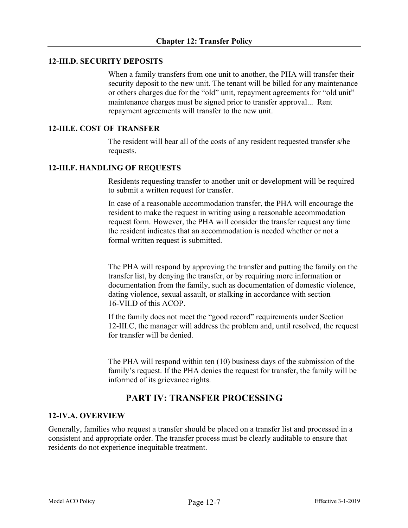### **12-III.D. SECURITY DEPOSITS**

When a family transfers from one unit to another, the PHA will transfer their security deposit to the new unit. The tenant will be billed for any maintenance or others charges due for the "old" unit, repayment agreements for "old unit" maintenance charges must be signed prior to transfer approval... Rent repayment agreements will transfer to the new unit.

# **12-III.E. COST OF TRANSFER**

The resident will bear all of the costs of any resident requested transfer s/he requests.

### **12-III.F. HANDLING OF REQUESTS**

Residents requesting transfer to another unit or development will be required to submit a written request for transfer.

In case of a reasonable accommodation transfer, the PHA will encourage the resident to make the request in writing using a reasonable accommodation request form. However, the PHA will consider the transfer request any time the resident indicates that an accommodation is needed whether or not a formal written request is submitted.

The PHA will respond by approving the transfer and putting the family on the transfer list, by denying the transfer, or by requiring more information or documentation from the family, such as documentation of domestic violence, dating violence, sexual assault, or stalking in accordance with section 16-VII.D of this ACOP.

If the family does not meet the "good record" requirements under Section 12-III.C, the manager will address the problem and, until resolved, the request for transfer will be denied.

The PHA will respond within ten (10) business days of the submission of the family's request. If the PHA denies the request for transfer, the family will be informed of its grievance rights.

# **PART IV: TRANSFER PROCESSING**

#### **12-IV.A. OVERVIEW**

Generally, families who request a transfer should be placed on a transfer list and processed in a consistent and appropriate order. The transfer process must be clearly auditable to ensure that residents do not experience inequitable treatment.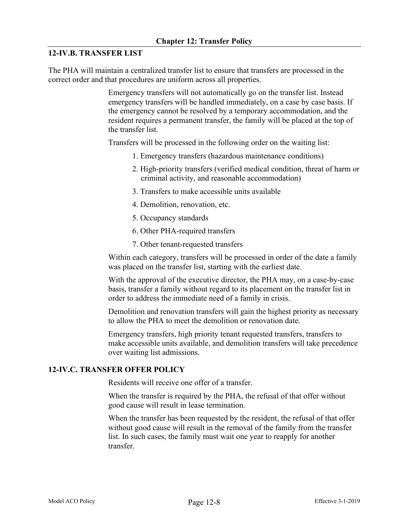# **12-IV.B. TRANSFER LIST**

The PHA will maintain a centralized transfer list to ensure that transfers are processed in the correct order and that procedures are uniform across all properties.

> Emergency transfers will not automatically go on the transfer list. Instead emergency transfers will be handled immediately, on a case by case basis. If the emergency cannot be resolved by a temporary accommodation, and the resident requires a permanent transfer, the family will be placed at the top of the transfer list.

Transfers will be processed in the following order on the waiting list:

- 1. Emergency transfers (hazardous maintenance conditions)
- 2. High-priority transfers (verified medical condition, threat of harm or criminal activity, and reasonable accommodation)
- 3. Transfers to make accessible units available
- 4. Demolition, renovation, etc.
- 5. Occupancy standards
- 6. Other PHA-required transfers
- 7. Other tenant-requested transfers

Within each category, transfers will be processed in order of the date a family was placed on the transfer list, starting with the earliest date.

With the approval of the executive director, the PHA may, on a case-by-case basis, transfer a family without regard to its placement on the transfer list in order to address the immediate need of a family in crisis.

Demolition and renovation transfers will gain the highest priority as necessary to allow the PHA to meet the demolition or renovation date.

Emergency transfers, high priority tenant requested transfers, transfers to make accessible units available, and demolition transfers will take precedence over waiting list admissions.

#### **12-IV.C. TRANSFER OFFER POLICY**

Residents will receive one offer of a transfer.

When the transfer is required by the PHA, the refusal of that offer without good cause will result in lease termination.

When the transfer has been requested by the resident, the refusal of that offer without good cause will result in the removal of the family from the transfer list. In such cases, the family must wait one year to reapply for another transfer.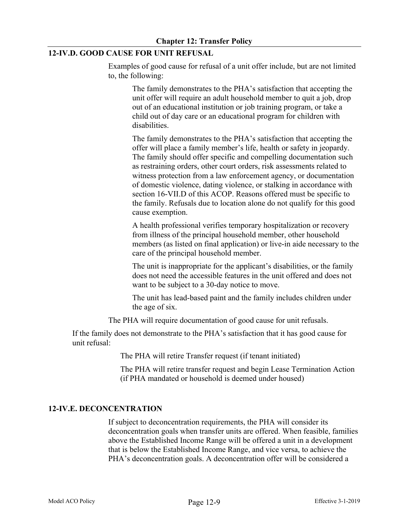# **12-IV.D. GOOD CAUSE FOR UNIT REFUSAL**

Examples of good cause for refusal of a unit offer include, but are not limited to, the following:

The family demonstrates to the PHA's satisfaction that accepting the unit offer will require an adult household member to quit a job, drop out of an educational institution or job training program, or take a child out of day care or an educational program for children with disabilities.

The family demonstrates to the PHA's satisfaction that accepting the offer will place a family member's life, health or safety in jeopardy. The family should offer specific and compelling documentation such as restraining orders, other court orders, risk assessments related to witness protection from a law enforcement agency, or documentation of domestic violence, dating violence, or stalking in accordance with section 16-VII.D of this ACOP. Reasons offered must be specific to the family. Refusals due to location alone do not qualify for this good cause exemption.

A health professional verifies temporary hospitalization or recovery from illness of the principal household member, other household members (as listed on final application) or live-in aide necessary to the care of the principal household member.

The unit is inappropriate for the applicant's disabilities, or the family does not need the accessible features in the unit offered and does not want to be subject to a 30-day notice to move.

The unit has lead-based paint and the family includes children under the age of six.

The PHA will require documentation of good cause for unit refusals.

If the family does not demonstrate to the PHA's satisfaction that it has good cause for unit refusal:

The PHA will retire Transfer request (if tenant initiated)

The PHA will retire transfer request and begin Lease Termination Action (if PHA mandated or household is deemed under housed)

# **12-IV.E. DECONCENTRATION**

If subject to deconcentration requirements, the PHA will consider its deconcentration goals when transfer units are offered. When feasible, families above the Established Income Range will be offered a unit in a development that is below the Established Income Range, and vice versa, to achieve the PHA's deconcentration goals. A deconcentration offer will be considered a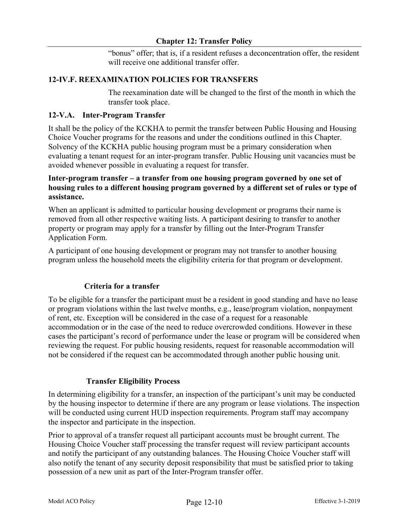"bonus" offer; that is, if a resident refuses a deconcentration offer, the resident will receive one additional transfer offer.

# **12-IV.F. REEXAMINATION POLICIES FOR TRANSFERS**

The reexamination date will be changed to the first of the month in which the transfer took place.

# **12-V.A. Inter-Program Transfer**

It shall be the policy of the KCKHA to permit the transfer between Public Housing and Housing Choice Voucher programs for the reasons and under the conditions outlined in this Chapter. Solvency of the KCKHA public housing program must be a primary consideration when evaluating a tenant request for an inter-program transfer. Public Housing unit vacancies must be avoided whenever possible in evaluating a request for transfer.

# **Inter-program transfer – a transfer from one housing program governed by one set of housing rules to a different housing program governed by a different set of rules or type of assistance.**

When an applicant is admitted to particular housing development or programs their name is removed from all other respective waiting lists. A participant desiring to transfer to another property or program may apply for a transfer by filling out the Inter-Program Transfer Application Form.

A participant of one housing development or program may not transfer to another housing program unless the household meets the eligibility criteria for that program or development.

# **Criteria for a transfer**

To be eligible for a transfer the participant must be a resident in good standing and have no lease or program violations within the last twelve months, e.g., lease/program violation, nonpayment of rent, etc. Exception will be considered in the case of a request for a reasonable accommodation or in the case of the need to reduce overcrowded conditions. However in these cases the participant's record of performance under the lease or program will be considered when reviewing the request. For public housing residents, request for reasonable accommodation will not be considered if the request can be accommodated through another public housing unit.

#### **Transfer Eligibility Process**

In determining eligibility for a transfer, an inspection of the participant's unit may be conducted by the housing inspector to determine if there are any program or lease violations. The inspection will be conducted using current HUD inspection requirements. Program staff may accompany the inspector and participate in the inspection.

Prior to approval of a transfer request all participant accounts must be brought current. The Housing Choice Voucher staff processing the transfer request will review participant accounts and notify the participant of any outstanding balances. The Housing Choice Voucher staff will also notify the tenant of any security deposit responsibility that must be satisfied prior to taking possession of a new unit as part of the Inter-Program transfer offer.